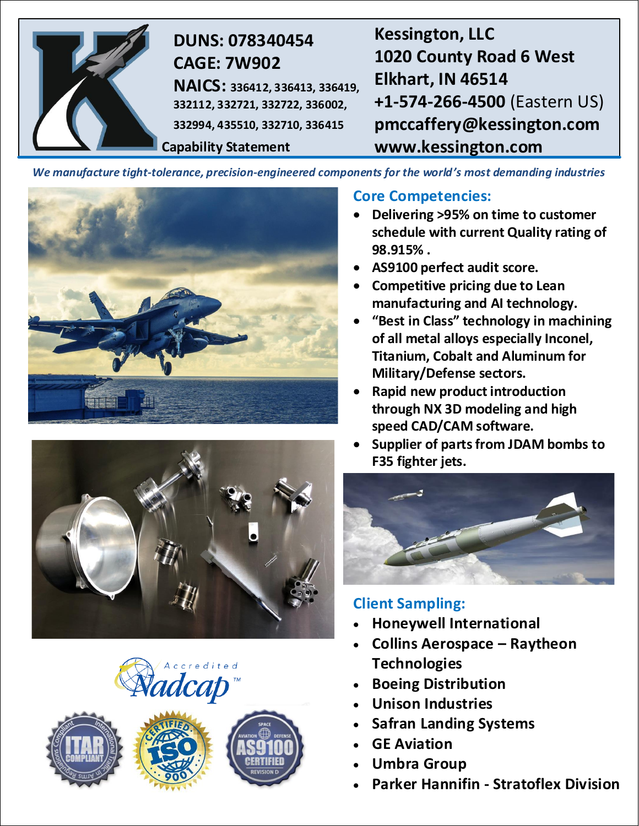

# **DUNS: 078340454 CAGE: 7W902**

**NAICS: 336412, 336413, 336419, 332112, 332721, 332722, 336002, 332994, 435510, 332710, 336415**

**Capability Statement**

**Kessington, LLC 1020 County Road 6 West Elkhart, IN 46514 +1-574-266-4500** (Eastern US) **pmccaffery@kessington.com www.kessington.com**

*We manufacture tight-tolerance, precision-engineered components for the world's most demanding industries*









## **Core Competencies:**

- **Delivering >95% on time to customer schedule with current Quality rating of 98.915% .**
- **AS9100 perfect audit score.**
- **Competitive pricing due to Lean manufacturing and AI technology.**
- **"Best in Class" technology in machining of all metal alloys especially Inconel, Titanium, Cobalt and Aluminum for Military/Defense sectors.**
- **Rapid new product introduction through NX 3D modeling and high speed CAD/CAM software.**
- **Supplier of parts from JDAM bombs to F35 fighter jets.**



# **Client Sampling:**

- **Honeywell International**
- **Collins Aerospace – Raytheon Technologies**
- **Boeing Distribution**
- **Unison Industries**
- **Safran Landing Systems**
- **GE Aviation**
- **Umbra Group**
- **Parker Hannifin - Stratoflex Division**